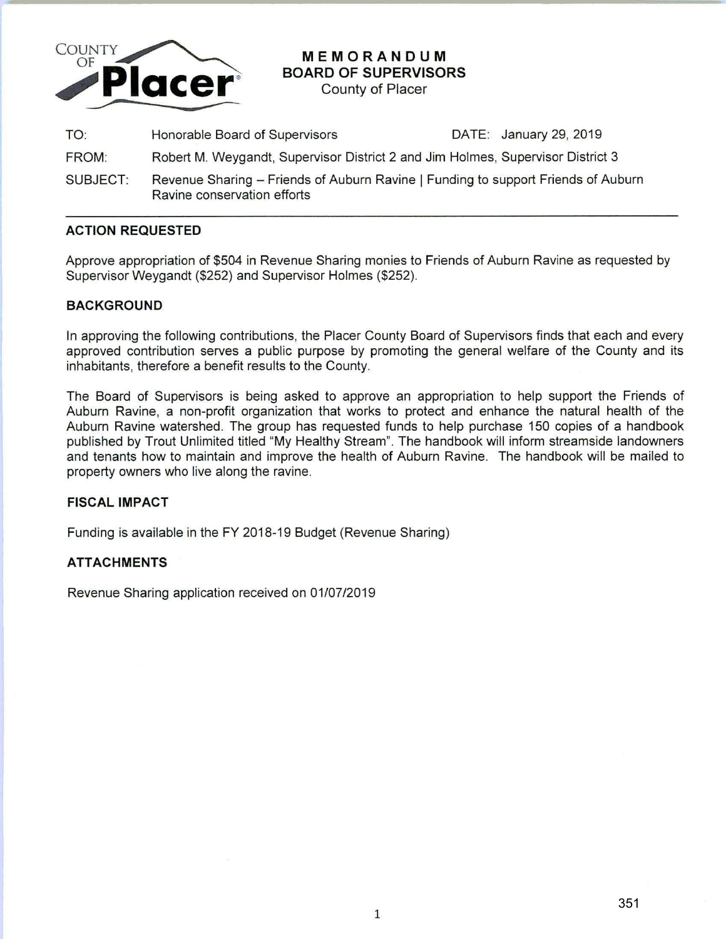

# **MEMORANDUM BOARD OF SUPERVISORS**

County of Placer

| TO:      | Honorable Board of Supervisors                                                                                   | DATE: January 29, 2019 |
|----------|------------------------------------------------------------------------------------------------------------------|------------------------|
| FROM:    | Robert M. Weygandt, Supervisor District 2 and Jim Holmes, Supervisor District 3                                  |                        |
| SUBJECT: | Revenue Sharing - Friends of Auburn Ravine   Funding to support Friends of Auburn<br>Ravine conservation efforts |                        |

## **ACTION REQUESTED**

Approve appropriation of \$504 in Revenue Sharing monies to Friends of Auburn Ravine as requested by Supervisor Weygandt (\$252) and Supervisor Holmes (\$252).

## **BACKGROUND**

In approving the following contributions, the Placer County Board of Supervisors finds that each and every approved contribution serves a public purpose by promoting the general welfare of the County and its inhabitants, therefore a benefit results to the County.

The Board of Supervisors is being asked to approve an appropriation to help support the Friends of Auburn Ravine, a non-profit organization that works to protect and enhance the natural health of the Auburn Ravine watershed. The group has requested funds to help purchase 150 copies of a handbook published by Trout Unlimited titled "My Healthy Stream". The handbook will inform streamside landowners and tenants how to maintain and improve the health of Auburn Ravine. The handbook will be mailed to property owners who live along the ravine.

#### **FISCAL IMPACT**

Funding is available in the FY 2018-19 Budget (Revenue Sharing)

## **ATTACHMENTS**

Revenue Sharing application received on 01/07/2019